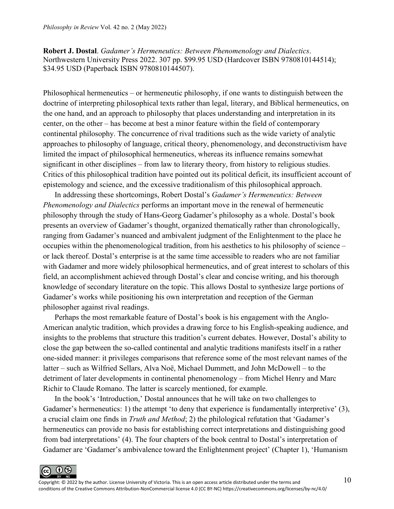**Robert J. Dostal**. *Gadamer's Hermeneutics: Between Phenomenology and Dialectics*. Northwestern University Press 2022. 307 pp. \$99.95 USD (Hardcover ISBN 9780810144514); \$34.95 USD (Paperback ISBN 9780810144507).

Philosophical hermeneutics – or hermeneutic philosophy, if one wants to distinguish between the doctrine of interpreting philosophical texts rather than legal, literary, and Biblical hermeneutics, on the one hand, and an approach to philosophy that places understanding and interpretation in its center, on the other – has become at best a minor feature within the field of contemporary continental philosophy. The concurrence of rival traditions such as the wide variety of analytic approaches to philosophy of language, critical theory, phenomenology, and deconstructivism have limited the impact of philosophical hermeneutics, whereas its influence remains somewhat significant in other disciplines – from law to literary theory, from history to religious studies. Critics of this philosophical tradition have pointed out its political deficit, its insufficient account of epistemology and science, and the excessive traditionalism of this philosophical approach.

In addressing these shortcomings, Robert Dostal's *Gadamer's Hermeneutics: Between Phenomenology and Dialectics* performs an important move in the renewal of hermeneutic philosophy through the study of Hans-Georg Gadamer's philosophy as a whole. Dostal's book presents an overview of Gadamer's thought, organized thematically rather than chronologically, ranging from Gadamer's nuanced and ambivalent judgment of the Enlightenment to the place he occupies within the phenomenological tradition, from his aesthetics to his philosophy of science – or lack thereof. Dostal's enterprise is at the same time accessible to readers who are not familiar with Gadamer and more widely philosophical hermeneutics, and of great interest to scholars of this field, an accomplishment achieved through Dostal's clear and concise writing, and his thorough knowledge of secondary literature on the topic. This allows Dostal to synthesize large portions of Gadamer's works while positioning his own interpretation and reception of the German philosopher against rival readings.

Perhaps the most remarkable feature of Dostal's book is his engagement with the Anglo-American analytic tradition, which provides a drawing force to his English-speaking audience, and insights to the problems that structure this tradition's current debates. However, Dostal's ability to close the gap between the so-called continental and analytic traditions manifests itself in a rather one-sided manner: it privileges comparisons that reference some of the most relevant names of the latter – such as Wilfried Sellars, Alva Noë, Michael Dummett, and John McDowell – to the detriment of later developments in continental phenomenology – from Michel Henry and Marc Richir to Claude Romano. The latter is scarcely mentioned, for example.

In the book's 'Introduction,' Dostal announces that he will take on two challenges to Gadamer's hermeneutics: 1) the attempt 'to deny that experience is fundamentally interpretive' (3), a crucial claim one finds in *Truth and Method*; 2) the philological refutation that 'Gadamer's hermeneutics can provide no basis for establishing correct interpretations and distinguishing good from bad interpretations' (4). The four chapters of the book central to Dostal's interpretation of Gadamer are 'Gadamer's ambivalence toward the Enlightenment project' (Chapter 1), 'Humanism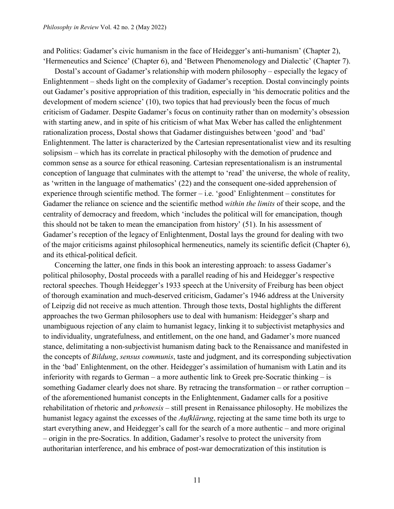and Politics: Gadamer's civic humanism in the face of Heidegger's anti-humanism' (Chapter 2), 'Hermeneutics and Science' (Chapter 6), and 'Between Phenomenology and Dialectic' (Chapter 7).

Dostal's account of Gadamer's relationship with modern philosophy – especially the legacy of Enlightenment – sheds light on the complexity of Gadamer's reception. Dostal convincingly points out Gadamer's positive appropriation of this tradition, especially in 'his democratic politics and the development of modern science' (10), two topics that had previously been the focus of much criticism of Gadamer. Despite Gadamer's focus on continuity rather than on modernity's obsession with starting anew, and in spite of his criticism of what Max Weber has called the enlightenment rationalization process, Dostal shows that Gadamer distinguishes between 'good' and 'bad' Enlightenment. The latter is characterized by the Cartesian representationalist view and its resulting solipsism – which has its correlate in practical philosophy with the demotion of prudence and common sense as a source for ethical reasoning. Cartesian representationalism is an instrumental conception of language that culminates with the attempt to 'read' the universe, the whole of reality, as 'written in the language of mathematics' (22) and the consequent one-sided apprehension of experience through scientific method. The former – i.e. 'good' Enlightenment – constitutes for Gadamer the reliance on science and the scientific method *within the limits* of their scope, and the centrality of democracy and freedom, which 'includes the political will for emancipation, though this should not be taken to mean the emancipation from history' (51). In his assessment of Gadamer's reception of the legacy of Enlightenment, Dostal lays the ground for dealing with two of the major criticisms against philosophical hermeneutics, namely its scientific deficit (Chapter 6), and its ethical-political deficit.

Concerning the latter, one finds in this book an interesting approach: to assess Gadamer's political philosophy, Dostal proceeds with a parallel reading of his and Heidegger's respective rectoral speeches. Though Heidegger's 1933 speech at the University of Freiburg has been object of thorough examination and much-deserved criticism, Gadamer's 1946 address at the University of Leipzig did not receive as much attention. Through those texts, Dostal highlights the different approaches the two German philosophers use to deal with humanism: Heidegger's sharp and unambiguous rejection of any claim to humanist legacy, linking it to subjectivist metaphysics and to individuality, ungratefulness, and entitlement, on the one hand, and Gadamer's more nuanced stance, delimitating a non-subjectivist humanism dating back to the Renaissance and manifested in the concepts of *Bildung*, *sensus communis*, taste and judgment, and its corresponding subjectivation in the 'bad' Enlightenment, on the other. Heidegger's assimilation of humanism with Latin and its inferiority with regards to German – a more authentic link to Greek pre-Socratic thinking – is something Gadamer clearly does not share. By retracing the transformation – or rather corruption – of the aforementioned humanist concepts in the Enlightenment, Gadamer calls for a positive rehabilitation of rhetoric and *prhonesis* – still present in Renaissance philosophy. He mobilizes the humanist legacy against the excesses of the *Aufklärung*, rejecting at the same time both its urge to start everything anew, and Heidegger's call for the search of a more authentic – and more original – origin in the pre-Socratics. In addition, Gadamer's resolve to protect the university from authoritarian interference, and his embrace of post-war democratization of this institution is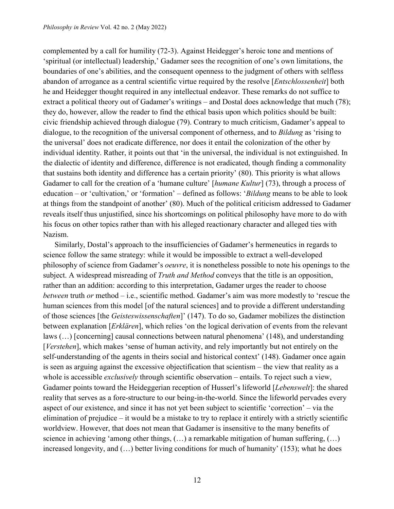complemented by a call for humility (72-3). Against Heidegger's heroic tone and mentions of 'spiritual (or intellectual) leadership,' Gadamer sees the recognition of one's own limitations, the boundaries of one's abilities, and the consequent openness to the judgment of others with selfless abandon of arrogance as a central scientific virtue required by the resolve [*Entschlossenheit*] both he and Heidegger thought required in any intellectual endeavor. These remarks do not suffice to extract a political theory out of Gadamer's writings – and Dostal does acknowledge that much (78); they do, however, allow the reader to find the ethical basis upon which politics should be built: civic friendship achieved through dialogue (79). Contrary to much criticism, Gadamer's appeal to dialogue, to the recognition of the universal component of otherness, and to *Bildung* as 'rising to the universal' does not eradicate difference, nor does it entail the colonization of the other by individual identity. Rather, it points out that 'in the universal, the individual is not extinguished. In the dialectic of identity and difference, difference is not eradicated, though finding a commonality that sustains both identity and difference has a certain priority' (80). This priority is what allows Gadamer to call for the creation of a 'humane culture' [*humane Kultur*] (73), through a process of education – or 'cultivation,' or 'formation' – defined as follows: '*Bildung* means to be able to look at things from the standpoint of another' (80). Much of the political criticism addressed to Gadamer reveals itself thus unjustified, since his shortcomings on political philosophy have more to do with his focus on other topics rather than with his alleged reactionary character and alleged ties with Nazism.

Similarly, Dostal's approach to the insufficiencies of Gadamer's hermeneutics in regards to science follow the same strategy: while it would be impossible to extract a well-developed philosophy of science from Gadamer's *oeuvre*, it is nonetheless possible to note his openings to the subject. A widespread misreading of *Truth and Method* conveys that the title is an opposition, rather than an addition: according to this interpretation, Gadamer urges the reader to choose *between* truth *or* method – i.e., scientific method. Gadamer's aim was more modestly to 'rescue the human sciences from this model [of the natural sciences] and to provide a different understanding of those sciences [the *Geisteswissenschaften*]' (147). To do so, Gadamer mobilizes the distinction between explanation [*Erklären*], which relies 'on the logical derivation of events from the relevant laws (…) [concerning] causal connections between natural phenomena' (148), and understanding [*Verstehen*], which makes 'sense of human activity, and rely importantly but not entirely on the self-understanding of the agents in theirs social and historical context' (148). Gadamer once again is seen as arguing against the excessive objectification that scientism – the view that reality as a whole is accessible *exclusively* through scientific observation – entails. To reject such a view, Gadamer points toward the Heideggerian reception of Husserl's lifeworld [*Lebenswelt*]: the shared reality that serves as a fore-structure to our being-in-the-world. Since the lifeworld pervades every aspect of our existence, and since it has not yet been subject to scientific 'correction' – via the elimination of prejudice – it would be a mistake to try to replace it entirely with a strictly scientific worldview. However, that does not mean that Gadamer is insensitive to the many benefits of science in achieving 'among other things,  $(...)$  a remarkable mitigation of human suffering,  $(...)$ increased longevity, and (…) better living conditions for much of humanity' (153); what he does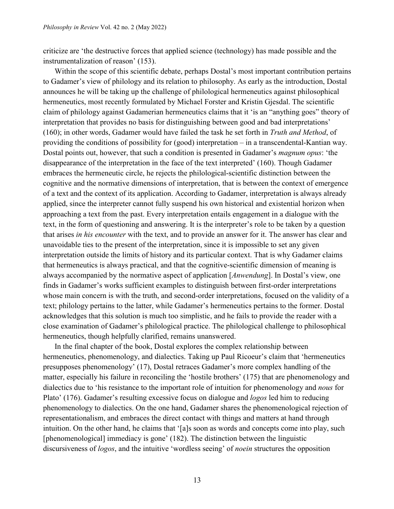criticize are 'the destructive forces that applied science (technology) has made possible and the instrumentalization of reason' (153).

Within the scope of this scientific debate, perhaps Dostal's most important contribution pertains to Gadamer's view of philology and its relation to philosophy. As early as the introduction, Dostal announces he will be taking up the challenge of philological hermeneutics against philosophical hermeneutics, most recently formulated by Michael Forster and Kristin Gjesdal. The scientific claim of philology against Gadamerian hermeneutics claims that it 'is an "anything goes" theory of interpretation that provides no basis for distinguishing between good and bad interpretations' (160); in other words, Gadamer would have failed the task he set forth in *Truth and Method*, of providing the conditions of possibility for (good) interpretation – in a transcendental-Kantian way. Dostal points out, however, that such a condition is presented in Gadamer's *magnum opus*: 'the disappearance of the interpretation in the face of the text interpreted' (160). Though Gadamer embraces the hermeneutic circle, he rejects the philological-scientific distinction between the cognitive and the normative dimensions of interpretation, that is between the context of emergence of a text and the context of its application. According to Gadamer, interpretation is always already applied, since the interpreter cannot fully suspend his own historical and existential horizon when approaching a text from the past. Every interpretation entails engagement in a dialogue with the text, in the form of questioning and answering. It is the interpreter's role to be taken by a question that arises *in his encounter* with the text, and to provide an answer for it. The answer has clear and unavoidable ties to the present of the interpretation, since it is impossible to set any given interpretation outside the limits of history and its particular context. That is why Gadamer claims that hermeneutics is always practical, and that the cognitive-scientific dimension of meaning is always accompanied by the normative aspect of application [*Anwendung*]. In Dostal's view, one finds in Gadamer's works sufficient examples to distinguish between first-order interpretations whose main concern is with the truth, and second-order interpretations, focused on the validity of a text; philology pertains to the latter, while Gadamer's hermeneutics pertains to the former. Dostal acknowledges that this solution is much too simplistic, and he fails to provide the reader with a close examination of Gadamer's philological practice. The philological challenge to philosophical hermeneutics, though helpfully clarified, remains unanswered.

In the final chapter of the book, Dostal explores the complex relationship between hermeneutics, phenomenology, and dialectics. Taking up Paul Ricoeur's claim that 'hermeneutics presupposes phenomenology' (17), Dostal retraces Gadamer's more complex handling of the matter, especially his failure in reconciling the 'hostile brothers' (175) that are phenomenology and dialectics due to 'his resistance to the important role of intuition for phenomenology and *nous* for Plato' (176). Gadamer's resulting excessive focus on dialogue and *logos* led him to reducing phenomenology to dialectics. On the one hand, Gadamer shares the phenomenological rejection of representationalism, and embraces the direct contact with things and matters at hand through intuition. On the other hand, he claims that '[a]s soon as words and concepts come into play, such [phenomenological] immediacy is gone' (182). The distinction between the linguistic discursiveness of *logos*, and the intuitive 'wordless seeing' of *noein* structures the opposition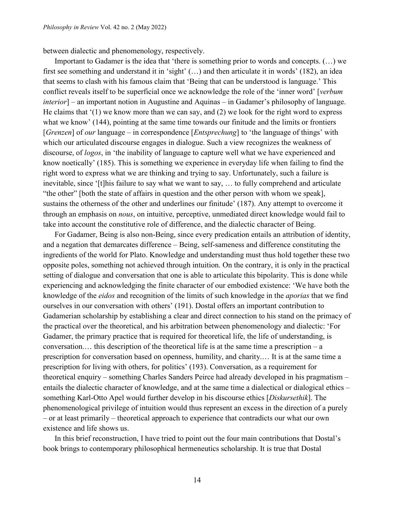between dialectic and phenomenology, respectively.

Important to Gadamer is the idea that 'there is something prior to words and concepts. (…) we first see something and understand it in 'sight' (…) and then articulate it in words' (182), an idea that seems to clash with his famous claim that 'Being that can be understood is language.' This conflict reveals itself to be superficial once we acknowledge the role of the 'inner word' [*verbum interior*] – an important notion in Augustine and Aquinas – in Gadamer's philosophy of language. He claims that '(1) we know more than we can say, and (2) we look for the right word to express what we know' (144), pointing at the same time towards our finitude and the limits or frontiers [*Grenzen*] of *our* language – in correspondence [*Entsprechung*] to 'the language of things' with which our articulated discourse engages in dialogue. Such a view recognizes the weakness of discourse, of *logos*, in 'the inability of language to capture well what we have experienced and know noetically' (185). This is something we experience in everyday life when failing to find the right word to express what we are thinking and trying to say. Unfortunately, such a failure is inevitable, since '[t]his failure to say what we want to say, ... to fully comprehend and articulate "the other" [both the state of affairs in question and the other person with whom we speak], sustains the otherness of the other and underlines our finitude' (187). Any attempt to overcome it through an emphasis on *nous*, on intuitive, perceptive, unmediated direct knowledge would fail to take into account the constitutive role of difference, and the dialectic character of Being.

For Gadamer, Being is also non-Being, since every predication entails an attribution of identity, and a negation that demarcates difference – Being, self-sameness and difference constituting the ingredients of the world for Plato. Knowledge and understanding must thus hold together these two opposite poles, something not achieved through intuition. On the contrary, it is only in the practical setting of dialogue and conversation that one is able to articulate this bipolarity. This is done while experiencing and acknowledging the finite character of our embodied existence: 'We have both the knowledge of the *eidos* and recognition of the limits of such knowledge in the *aporias* that we find ourselves in our conversation with others' (191). Dostal offers an important contribution to Gadamerian scholarship by establishing a clear and direct connection to his stand on the primacy of the practical over the theoretical, and his arbitration between phenomenology and dialectic: 'For Gadamer, the primary practice that is required for theoretical life, the life of understanding, is conversation.… this description of the theoretical life is at the same time a prescription – a prescription for conversation based on openness, humility, and charity.… It is at the same time a prescription for living with others, for politics' (193). Conversation, as a requirement for theoretical enquiry – something Charles Sanders Peirce had already developed in his pragmatism – entails the dialectic character of knowledge, and at the same time a dialectical or dialogical ethics – something Karl-Otto Apel would further develop in his discourse ethics [*Diskursethik*]. The phenomenological privilege of intuition would thus represent an excess in the direction of a purely – or at least primarily – theoretical approach to experience that contradicts our what our own existence and life shows us.

In this brief reconstruction, I have tried to point out the four main contributions that Dostal's book brings to contemporary philosophical hermeneutics scholarship. It is true that Dostal